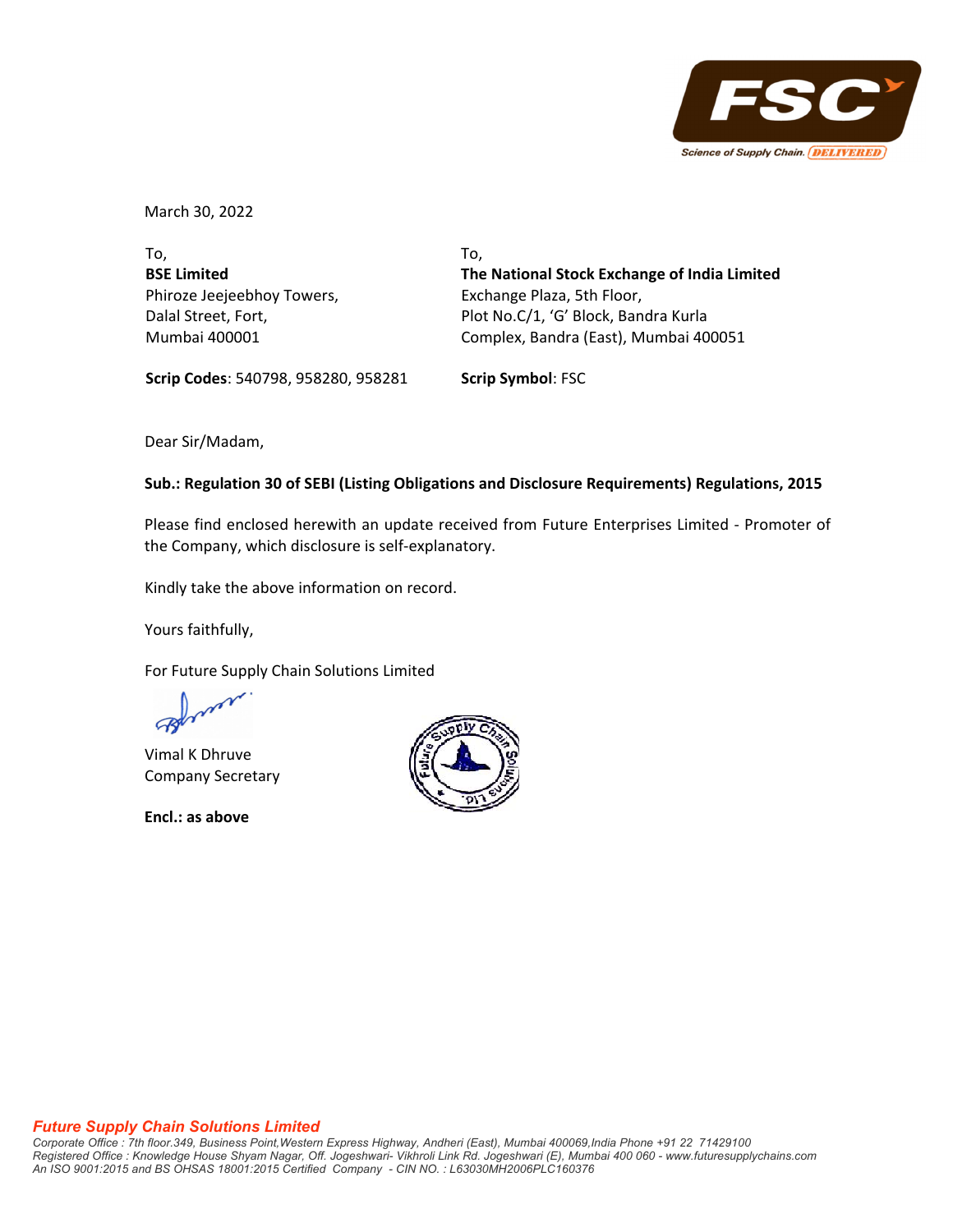

March 30, 2022

To, **BSE Limited** Phiroze Jeejeebhoy Towers, Dalal Street, Fort, Mumbai 400001

To, **The National Stock Exchange of India Limited** Exchange Plaza, 5th Floor, Plot No.C/1, 'G' Block, Bandra Kurla Complex, Bandra (East), Mumbai 400051

**Scrip Codes**: 540798, 958280, 958281 **Scrip Symbol**: FSC

Dear Sir/Madam,

## **Sub.: Regulation 30 of SEBI (Listing Obligations and Disclosure Requirements) Regulations, 2015**

Please find enclosed herewith an update received from Future Enterprises Limited ‐ Promoter of the Company, which disclosure is self‐explanatory.

Kindly take the above information on record.

Yours faithfully,

For Future Supply Chain Solutions Limited

Vimal K Dhruve Company Secretary

**Encl.: as above**



#### *Future Supply Chain Solutions Limited*